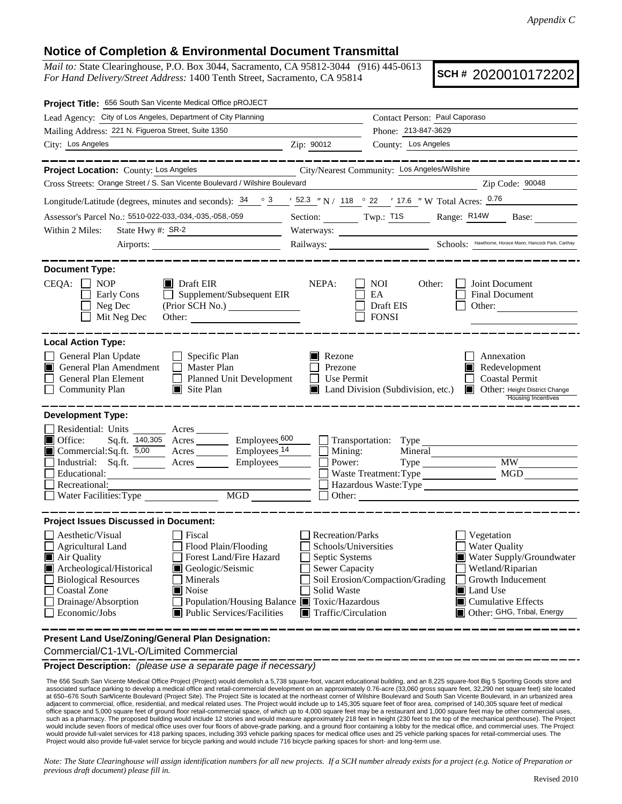## **Notice of Completion & Environmental Document Transmittal**

*Mail to:* State Clearinghouse, P.O. Box 3044, Sacramento, CA 95812-3044 (916) 445-0613 *For Hand Delivery/Street Address:* 1400 Tenth Street, Sacramento, CA 95814

**SCH #** 2020010172202

| Project Title: 656 South San Vicente Medical Office pROJECT                                                                                                                                                                                                                                                                                                                                                                         |                                                                |                                                                                                                                                                                                                                                                                                                                                        |                                                                                                                              |  |
|-------------------------------------------------------------------------------------------------------------------------------------------------------------------------------------------------------------------------------------------------------------------------------------------------------------------------------------------------------------------------------------------------------------------------------------|----------------------------------------------------------------|--------------------------------------------------------------------------------------------------------------------------------------------------------------------------------------------------------------------------------------------------------------------------------------------------------------------------------------------------------|------------------------------------------------------------------------------------------------------------------------------|--|
| Lead Agency: City of Los Angeles, Department of City Planning                                                                                                                                                                                                                                                                                                                                                                       | Contact Person: Paul Caporaso                                  |                                                                                                                                                                                                                                                                                                                                                        |                                                                                                                              |  |
| Mailing Address: 221 N. Figueroa Street, Suite 1350                                                                                                                                                                                                                                                                                                                                                                                 |                                                                | Phone: 213-847-3629                                                                                                                                                                                                                                                                                                                                    |                                                                                                                              |  |
| City: Los Angeles<br><u> 1980 - Johann Barbara, martin a</u>                                                                                                                                                                                                                                                                                                                                                                        | Zip: 90012                                                     | County: Los Angeles                                                                                                                                                                                                                                                                                                                                    |                                                                                                                              |  |
| ---------                                                                                                                                                                                                                                                                                                                                                                                                                           |                                                                |                                                                                                                                                                                                                                                                                                                                                        |                                                                                                                              |  |
| Project Location: County: Los Angeles                                                                                                                                                                                                                                                                                                                                                                                               |                                                                | City/Nearest Community: Los Angeles/Wilshire                                                                                                                                                                                                                                                                                                           |                                                                                                                              |  |
| Cross Streets: Orange Street / S. San Vicente Boulevard / Wilshire Boulevard                                                                                                                                                                                                                                                                                                                                                        |                                                                |                                                                                                                                                                                                                                                                                                                                                        | Zip Code: 90048                                                                                                              |  |
| Longitude/Latitude (degrees, minutes and seconds): $\frac{34}{9}$ $\frac{3}{2}$ $\frac{1}{2}$ $\frac{52.3}{2}$ " N / 118 $\degree$ 22 ' 17.6 " W Total Acres: $\frac{0.76}{2}$                                                                                                                                                                                                                                                      |                                                                |                                                                                                                                                                                                                                                                                                                                                        |                                                                                                                              |  |
| Assessor's Parcel No.: 5510-022-033,-034,-035,-058,-059                                                                                                                                                                                                                                                                                                                                                                             |                                                                |                                                                                                                                                                                                                                                                                                                                                        | Section: Twp.: T1S Range: R14W Base:                                                                                         |  |
| Within 2 Miles:<br>State Hwy #: SR-2<br><u> 1989 - Johann Barbara, martin a</u>                                                                                                                                                                                                                                                                                                                                                     |                                                                |                                                                                                                                                                                                                                                                                                                                                        |                                                                                                                              |  |
|                                                                                                                                                                                                                                                                                                                                                                                                                                     |                                                                |                                                                                                                                                                                                                                                                                                                                                        | Railways: Schools: Hawthorne, Horace Mann, Hancock Park, Carthay                                                             |  |
| <b>Document Type:</b><br>CEQA:<br><b>NOP</b><br>$\blacksquare$ Draft EIR<br>Supplement/Subsequent EIR<br>Early Cons<br>$\perp$<br>Neg Dec<br>Mit Neg Dec<br>Other:                                                                                                                                                                                                                                                                  | NEPA:                                                          | <b>NOI</b><br>Other:<br>EA<br>Draft EIS<br><b>FONSI</b>                                                                                                                                                                                                                                                                                                | Joint Document<br><b>Final Document</b><br>Other:                                                                            |  |
| <b>Local Action Type:</b><br>General Plan Update<br>$\Box$ Specific Plan<br>General Plan Amendment<br>$\Box$ Master Plan<br>IT L<br>General Plan Element<br>Planned Unit Development<br>$\perp$<br><b>Community Plan</b><br>$\blacksquare$ Site Plan                                                                                                                                                                                | $\blacksquare$ Rezone<br>Prezone<br>Use Permit<br>$\mathsf{L}$ | $\blacksquare$ Land Division (Subdivision, etc.)                                                                                                                                                                                                                                                                                                       | Annexation<br>Redevelopment<br><b>Coastal Permit</b><br><b>DE</b> Other: Height District Change<br><b>Housing Incentives</b> |  |
| <b>Development Type:</b><br>Residential: Units Acres<br>Sq.ft. 140,305 Acres Employees 600<br>Office:<br>Commercial:Sq.ft. 5,00 Acres Employees 14<br>Employees<br>Industrial: Sq.ft.<br>Educational:<br>Recreational:<br>MGD<br>Water Facilities: Type                                                                                                                                                                             | Mining:<br>Power:                                              | Transportation: Type<br>Mineral<br>Waste Treatment: Type<br>Other:                                                                                                                                                                                                                                                                                     | <b>MW</b><br>MGD<br>Hazardous Waste:Type                                                                                     |  |
| <b>Project Issues Discussed in Document:</b>                                                                                                                                                                                                                                                                                                                                                                                        |                                                                |                                                                                                                                                                                                                                                                                                                                                        |                                                                                                                              |  |
| Aesthetic/Visual<br>Fiscal<br>$\Box$ Agricultural Land<br>Flood Plain/Flooding<br>Forest Land/Fire Hazard<br>Air Quality<br>Archeological/Historical<br>Geologic/Seismic<br><b>Biological Resources</b><br>Minerals<br>Noise<br><b>Coastal Zone</b><br>Drainage/Absorption<br>Population/Housing Balance Toxic/Hazardous<br>Economic/Jobs<br><b>Public Services/Facilities</b><br>Present Land Use/Zoning/General Plan Designation: | Solid Waste                                                    | <b>Recreation/Parks</b><br>Vegetation<br>Schools/Universities<br><b>Water Quality</b><br>Septic Systems<br>$\blacksquare$ Water Supply/Groundwater<br>Sewer Capacity<br>Wetland/Riparian<br>Soil Erosion/Compaction/Grading<br>Growth Inducement<br>Land Use<br>$\blacksquare$ Cumulative Effects<br>Other: GHG, Tribal, Energy<br>Traffic/Circulation |                                                                                                                              |  |
|                                                                                                                                                                                                                                                                                                                                                                                                                                     |                                                                |                                                                                                                                                                                                                                                                                                                                                        |                                                                                                                              |  |

Commercial/C1-1VL-O/Limited Commercial

**Project Description:** *(please use a separate page if necessary)*

The 656 South San Vicente Medical Office Project (Project) would demolish a 5,738 square-foot, vacant educational building, and an 8,225 square-foot Big 5 Sporting Goods store and associated surface parking to develop a medical office and retail-commercial development on an approximately 0.76-acre (33,060 gross square feet, 32,290 net square feet) site located at 650–676 South SanVicente   Boulevard (Project Site). The Project Site is located at the northeast corner of Wilshire Boulevard and South San Vicente Boulevard, in an urbanized area adjacent to commercial, office, residential, and medical related uses. The Project would include up to 145,305 square feet of floor area, comprised of 140,305 square feet of medical office space and 5,000 square feet of ground floor retail-commercial space, of which up to 4,000 square feet may be athaurant and 1,000 square feet may be other commercial uses,<br>such as a pharmacy. The proposed building wo would include seven floors of medical office uses over four floors of above-grade parking, and a ground floor containing a lobby for the medical office, and commercial uses. The Project would provide full-valet services for 418 parking spaces, including 393 vehicle parking spaces for medical office uses and 25 vehicle parking spaces for retail-commercial uses. The Project would also provide full-valet service for bicycle parking and would include 716 bicycle parking spaces for short- and long-term use.

*Note: The State Clearinghouse will assign identification numbers for all new projects. If a SCH number already exists for a project (e.g. Notice of Preparation or previous draft document) please fill in.*